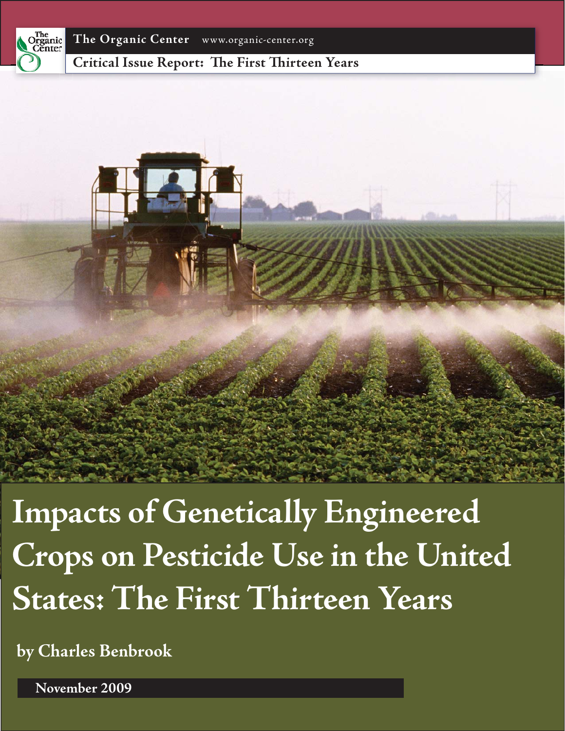

**Critical Issue Report: The First Thirteen Years** 



**Impacts of Genetically Engineered Crops on Pesticide Use in the United States: The First Thirteen Years**

**by Charles Benbrook**

**November 2009**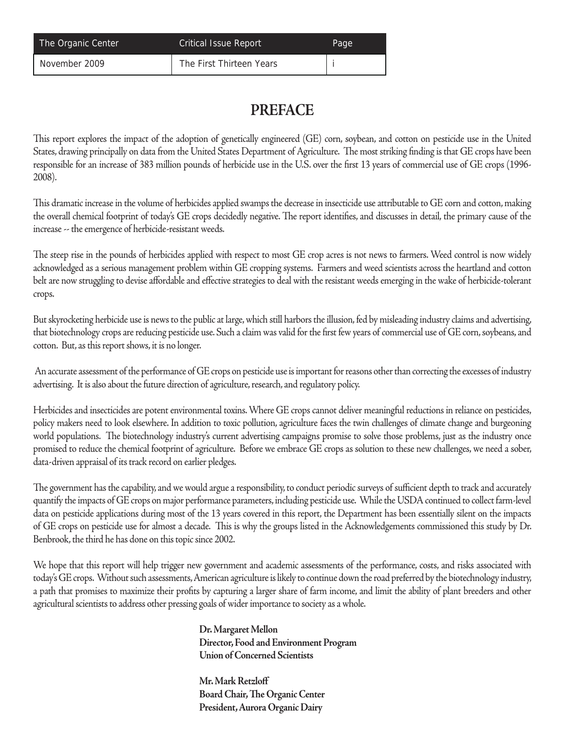| The Organic Center | <b>Critical Issue Report</b> | Page |
|--------------------|------------------------------|------|
| November 2009      | The First Thirteen Years     |      |

## **PREFACE**

This report explores the impact of the adoption of genetically engineered (GE) corn, soybean, and cotton on pesticide use in the United States, drawing principally on data from the United States Department of Agriculture. The most striking finding is that GE crops have been responsible for an increase of 383 million pounds of herbicide use in the U.S. over the first 13 years of commercial use of GE crops (1996-2008).

This dramatic increase in the volume of herbicides applied swamps the decrease in insecticide use attributable to GE corn and cotton, making the overall chemical footprint of today's GE crops decidedly negative. The report identifies, and discusses in detail, the primary cause of the increase -- the emergence of herbicide-resistant weeds.

The steep rise in the pounds of herbicides applied with respect to most GE crop acres is not news to farmers. Weed control is now widely acknowledged as a serious management problem within GE cropping systems. Farmers and weed scientists across the heartland and cotton belt are now struggling to devise affordable and effective strategies to deal with the resistant weeds emerging in the wake of herbicide-tolerant crops.

But skyrocketing herbicide use is news to the public at large, which still harbors the illusion, fed by misleading industry claims and advertising, that biotechnology crops are reducing pesticide use. Such a claim was valid for the first few years of commercial use of GE corn, soybeans, and cotton. But, as this report shows, it is no longer.

 An accurate assessment of the performance of GE crops on pesticide use is important for reasons other than correcting the excesses of industry advertising. It is also about the future direction of agriculture, research, and regulatory policy.

Herbicides and insecticides are potent environmental toxins. Where GE crops cannot deliver meaningful reductions in reliance on pesticides, policy makers need to look elsewhere. In addition to toxic pollution, agriculture faces the twin challenges of climate change and burgeoning world populations. The biotechnology industry's current advertising campaigns promise to solve those problems, just as the industry once promised to reduce the chemical footprint of agriculture. Before we embrace GE crops as solution to these new challenges, we need a sober, data-driven appraisal of its track record on earlier pledges.

The government has the capability, and we would argue a responsibility, to conduct periodic surveys of sufficient depth to track and accurately quantify the impacts of GE crops on major performance parameters, including pesticide use. While the USDA continued to collect farm-level data on pesticide applications during most of the 13 years covered in this report, the Department has been essentially silent on the impacts of GE crops on pesticide use for almost a decade. This is why the groups listed in the Acknowledgements commissioned this study by Dr. Benbrook, the third he has done on this topic since 2002.

We hope that this report will help trigger new government and academic assessments of the performance, costs, and risks associated with today's GE crops. Without such assessments, American agriculture is likely to continue down the road preferred by the biotechnology industry, a path that promises to maximize their profits by capturing a larger share of farm income, and limit the ability of plant breeders and other agricultural scientists to address other pressing goals of wider importance to society as a whole.

> **Dr. Margaret Mellon Director, Food and Environment Program Union of Concerned Scientists**

 **Mr. Mark Retzloff Board Chair, The Organic Center President, Aurora Organic Dairy**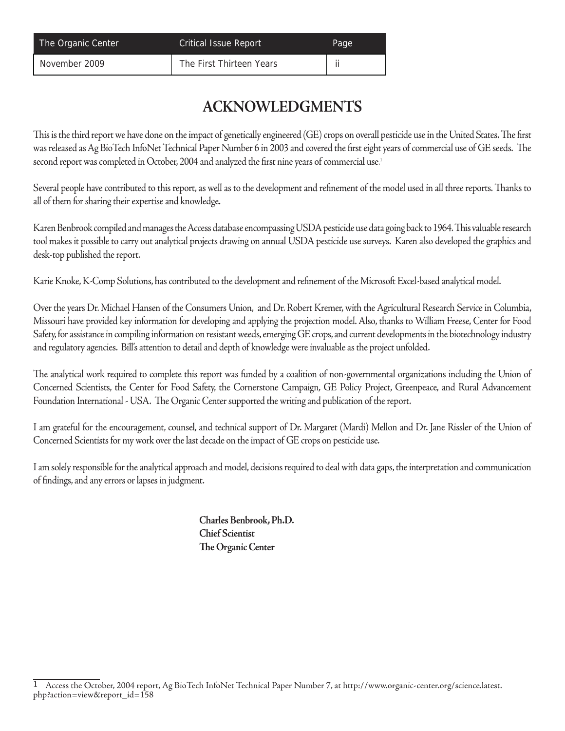| The Organic Center | <b>Critical Issue Report</b> | Page |
|--------------------|------------------------------|------|
| November 2009      | The First Thirteen Years     |      |

## **ACKNOWLEDGMENTS**

This is the third report we have done on the impact of genetically engineered (GE) crops on overall pesticide use in the United States. The first was released as Ag BioTech InfoNet Technical Paper Number 6 in 2003 and covered the first eight years of commercial use of GE seeds. The second report was completed in October, 2004 and analyzed the first nine years of commercial use.<del>'</del>

Several people have contributed to this report, as well as to the development and refinement of the model used in all three reports. Thanks to all of them for sharing their expertise and knowledge.

Karen Benbrook compiled and manages the Access database encompassing USDA pesticide use data going back to 1964. This valuable research tool makes it possible to carry out analytical projects drawing on annual USDA pesticide use surveys. Karen also developed the graphics and desk-top published the report.

Karie Knoke, K-Comp Solutions, has contributed to the development and refinement of the Microsoft Excel-based analytical model.

Over the years Dr. Michael Hansen of the Consumers Union, and Dr. Robert Kremer, with the Agricultural Research Service in Columbia, Missouri have provided key information for developing and applying the projection model. Also, thanks to William Freese, Center for Food Safety, for assistance in compiling information on resistant weeds, emerging GE crops, and current developments in the biotechnology industry and regulatory agencies. Bill's attention to detail and depth of knowledge were invaluable as the project unfolded.

The analytical work required to complete this report was funded by a coalition of non-governmental organizations including the Union of Concerned Scientists, the Center for Food Safety, the Cornerstone Campaign, GE Policy Project, Greenpeace, and Rural Advancement Foundation International - USA. The Organic Center supported the writing and publication of the report.

I am grateful for the encouragement, counsel, and technical support of Dr. Margaret (Mardi) Mellon and Dr. Jane Rissler of the Union of Concerned Scientists for my work over the last decade on the impact of GE crops on pesticide use.

I am solely responsible for the analytical approach and model, decisions required to deal with data gaps, the interpretation and communication of findings, and any errors or lapses in judgment.

> **Charles Benbrook, Ph.D. Chief Scientist The Organic Center**

<sup>1</sup> Access the October, 2004 report, Ag BioTech InfoNet Technical Paper Number 7, at http://www.organic-center.org/science.latest. php?action=view&report\_id=158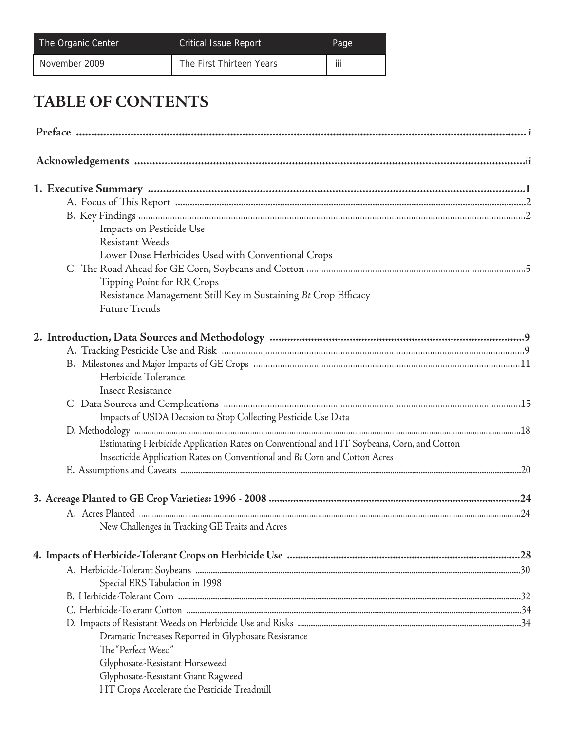| The Organic Center | <b>Critical Issue Report</b> | Page |
|--------------------|------------------------------|------|
| November 2009      | The First Thirteen Years     | iii  |

# **TABLE OF CONTENTS**

| Impacts on Pesticide Use                                                                 |  |
|------------------------------------------------------------------------------------------|--|
| <b>Resistant Weeds</b>                                                                   |  |
| Lower Dose Herbicides Used with Conventional Crops                                       |  |
|                                                                                          |  |
| Tipping Point for RR Crops                                                               |  |
| Resistance Management Still Key in Sustaining Bt Crop Efficacy                           |  |
| <b>Future Trends</b>                                                                     |  |
|                                                                                          |  |
|                                                                                          |  |
|                                                                                          |  |
| Herbicide Tolerance                                                                      |  |
| <b>Insect Resistance</b>                                                                 |  |
|                                                                                          |  |
| Impacts of USDA Decision to Stop Collecting Pesticide Use Data                           |  |
|                                                                                          |  |
| Estimating Herbicide Application Rates on Conventional and HT Soybeans, Corn, and Cotton |  |
| Insecticide Application Rates on Conventional and Bt Corn and Cotton Acres               |  |
|                                                                                          |  |
|                                                                                          |  |
|                                                                                          |  |
|                                                                                          |  |
| New Challenges in Tracking GE Traits and Acres                                           |  |
|                                                                                          |  |
|                                                                                          |  |
| Special ERS Tabulation in 1998                                                           |  |
|                                                                                          |  |
|                                                                                          |  |
|                                                                                          |  |
| Dramatic Increases Reported in Glyphosate Resistance                                     |  |
| The "Perfect Weed"                                                                       |  |
| Glyphosate-Resistant Horseweed                                                           |  |
| Glyphosate-Resistant Giant Ragweed                                                       |  |
| HT Crops Accelerate the Pesticide Treadmill                                              |  |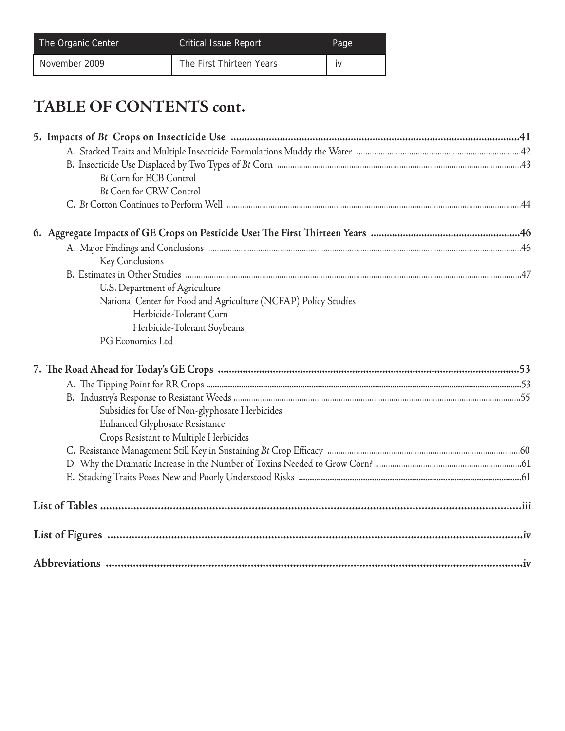| The Organic Center | <b>Critical Issue Report</b> | Page |
|--------------------|------------------------------|------|
| November 2009      | The First Thirteen Years     | IV   |

# **TABLE OF CONTENTS cont.**

| <b>Bt Corn for ECB Control</b>                                  |  |
|-----------------------------------------------------------------|--|
| <b>Bt Corn for CRW Control</b>                                  |  |
|                                                                 |  |
|                                                                 |  |
|                                                                 |  |
| Key Conclusions                                                 |  |
|                                                                 |  |
| U.S. Department of Agriculture                                  |  |
| National Center for Food and Agriculture (NCFAP) Policy Studies |  |
| Herbicide-Tolerant Corn                                         |  |
| Herbicide-Tolerant Soybeans                                     |  |
| PG Economics Ltd                                                |  |
|                                                                 |  |
|                                                                 |  |
|                                                                 |  |
|                                                                 |  |
|                                                                 |  |
|                                                                 |  |
| Subsidies for Use of Non-glyphosate Herbicides                  |  |
| <b>Enhanced Glyphosate Resistance</b>                           |  |
| Crops Resistant to Multiple Herbicides                          |  |
|                                                                 |  |
|                                                                 |  |
|                                                                 |  |
|                                                                 |  |
|                                                                 |  |
|                                                                 |  |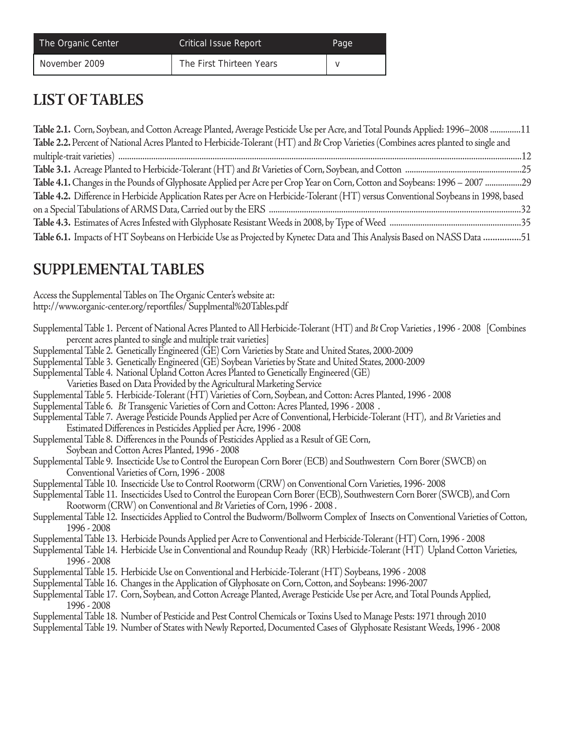| The Organic Center | Critical Issue Report    | Page |
|--------------------|--------------------------|------|
| November 2009      | The First Thirteen Years |      |

## **LIST OF TABLES**

| Table 2.1. Corn, Soybean, and Cotton Acreage Planted, Average Pesticide Use per Acre, and Total Pounds Applied: 1996–2008 11         |  |
|--------------------------------------------------------------------------------------------------------------------------------------|--|
| Table 2.2. Percent of National Acres Planted to Herbicide-Tolerant (HT) and Bt Crop Varieties (Combines acres planted to single and  |  |
|                                                                                                                                      |  |
|                                                                                                                                      |  |
| Table 4.1. Changes in the Pounds of Glyphosate Applied per Acre per Crop Year on Corn, Cotton and Soybeans: 1996 - 2007 29           |  |
| Table 4.2. Difference in Herbicide Application Rates per Acre on Herbicide-Tolerant (HT) versus Conventional Soybeans in 1998, based |  |
|                                                                                                                                      |  |
|                                                                                                                                      |  |
| Table 6.1. Impacts of HT Soybeans on Herbicide Use as Projected by Kynetec Data and This Analysis Based on NASS Data 51              |  |

# **SUPPLEMENTAL TABLES**

| Access the Supplemental Tables on The Organic Center's website at:                                                                                                                                   |
|------------------------------------------------------------------------------------------------------------------------------------------------------------------------------------------------------|
| http://www.organic-center.org/reportfiles/ Supplmental%20Tables.pdf                                                                                                                                  |
| Supplemental Table 1. Percent of National Acres Planted to All Herbicide-Tolerant (HT) and Bt Crop Varieties, 1996 - 2008 [Combines<br>percent acres planted to single and multiple trait varieties] |
| Supplemental Table 2. Genetically Engineered (GE) Corn Varieties by State and United States, 2000-2009                                                                                               |
| Supplemental Table 3. Genetically Engineered (GE) Soybean Varieties by State and United States, 2000-2009                                                                                            |
| Supplemental Table 4. National Upland Cotton Acres Planted to Genetically Engineered (GE)                                                                                                            |
| Varieties Based on Data Provided by the Agricultural Marketing Service                                                                                                                               |
| Supplemental Table 5. Herbicide-Tolerant (HT) Varieties of Corn, Soybean, and Cotton: Acres Planted, 1996 - 2008                                                                                     |
| .  Supplemental Table 6.   Bt Transgenic Varieties of Corn and Cotton: Acres Planted, 1996 - 2008                                                                                                    |
| Supplemental Table 7. Average Pesticide Pounds Applied per Acre of Conventional, Herbicide-Tolerant (HT), and Bt Varieties and                                                                       |
| Estimated Differences in Pesticides Applied per Acre, 1996 - 2008                                                                                                                                    |
| Supplemental Table 8. Differences in the Pounds of Pesticides Applied as a Result of GE Corn,                                                                                                        |
| Soybean and Cotton Acres Planted, 1996 - 2008                                                                                                                                                        |
| Supplemental Table 9. Insecticide Use to Control the European Corn Borer (ECB) and Southwestern Corn Borer (SWCB) on                                                                                 |
| Conventional Varieties of Corn, 1996 - 2008                                                                                                                                                          |
| Supplemental Table 10. Insecticide Use to Control Rootworm (CRW) on Conventional Corn Varieties, 1996- 2008                                                                                          |
| Supplemental Table 11. Insecticides Used to Control the European Corn Borer (ECB), Southwestern Corn Borer (SWCB), and Corn                                                                          |
| Rootworm (CRW) on Conventional and Bt Varieties of Corn, 1996 - 2008.                                                                                                                                |
| Supplemental Table 12. Insecticides Applied to Control the Budworm/Bollworm Complex of Insects on Conventional Varieties of Cotton,                                                                  |
| 1996 - 2008                                                                                                                                                                                          |
| Supplemental Table 13. Herbicide Pounds Applied per Acre to Conventional and Herbicide-Tolerant (HT) Corn, 1996 - 2008                                                                               |
| Supplemental Table 14. Herbicide Use in Conventional and Roundup Ready (RR) Herbicide-Tolerant (HT) Upland Cotton Varieties,                                                                         |
| 1996 - 2008                                                                                                                                                                                          |
| Supplemental Table 15. Herbicide Use on Conventional and Herbicide-Tolerant (HT) Soybeans, 1996 - 2008                                                                                               |
| Supplemental Table 16. Changes in the Application of Glyphosate on Corn, Cotton, and Soybeans: 1996-2007                                                                                             |
| Supplemental Table 17. Corn, Soybean, and Cotton Acreage Planted, Average Pesticide Use per Acre, and Total Pounds Applied,                                                                          |
| 1996 - 2008                                                                                                                                                                                          |
| Supplemental Table 18. Number of Pesticide and Pest Control Chemicals or Toxins Used to Manage Pests: 1971 through 2010                                                                              |
| Supplemental Table 19. Number of States with Newly Reported, Documented Cases of Glyphosate Resistant Weeds, 1996 - 2008                                                                             |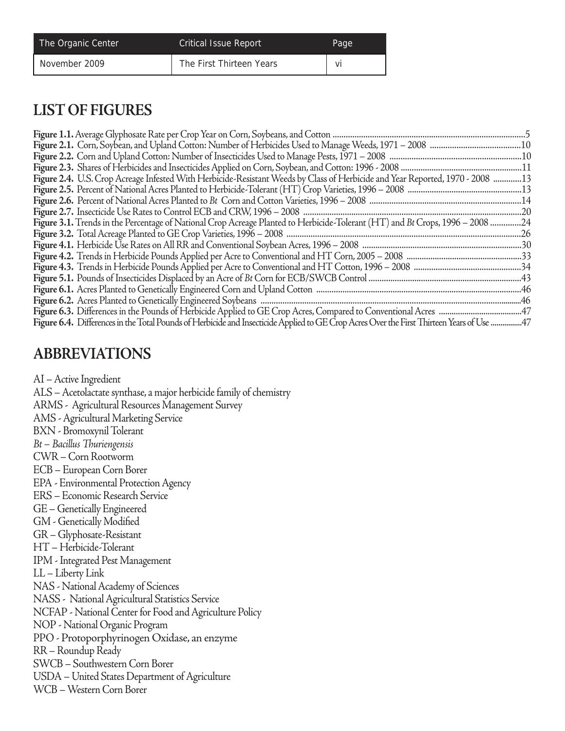| The Organic Center | <b>Critical Issue Report</b> | Page |
|--------------------|------------------------------|------|
| November 2009      | The First Thirteen Years     | Vİ   |

## **LIST OF FIGURES**

| Figure 2.4. U.S. Crop Acreage Infested With Herbicide-Resistant Weeds by Class of Herbicide and Year Reported, 1970 - 2008 13             |  |
|-------------------------------------------------------------------------------------------------------------------------------------------|--|
|                                                                                                                                           |  |
|                                                                                                                                           |  |
|                                                                                                                                           |  |
| Figure 3.1. Trends in the Percentage of National Crop Acreage Planted to Herbicide-Tolerant (HT) and Bt Crops, 1996 - 2008 24             |  |
|                                                                                                                                           |  |
|                                                                                                                                           |  |
|                                                                                                                                           |  |
|                                                                                                                                           |  |
|                                                                                                                                           |  |
|                                                                                                                                           |  |
|                                                                                                                                           |  |
|                                                                                                                                           |  |
| Figure 6.4. Differences in the Total Pounds of Herbicide and Insecticide Applied to GE Crop Acres Over the First Thirteen Years of Use 47 |  |

## **ABBREVIATIONS**

AI – Active Ingredient

ALS – Acetolactate synthase, a major herbicide family of chemistry

- ARMS Agricultural Resources Management Survey
- AMS Agricultural Marketing Service
- BXN Bromoxynil Tolerant
- *Bt Bacillus Th uriengensis*
- CWR Corn Rootworm
- ECB European Corn Borer
- EPA Environmental Protection Agency
- ERS Economic Research Service
- GE Genetically Engineered
- GM Genetically Modified
- GR Glyphosate-Resistant
- HT Herbicide-Tolerant
- IPM Integrated Pest Management
- LL Liberty Link
- NAS National Academy of Sciences
- NASS National Agricultural Statistics Service
- NCFAP National Center for Food and Agriculture Policy
- NOP National Organic Program
- PPO Protoporphyrinogen Oxidase, an enzyme
- RR Roundup Ready
- SWCB Southwestern Corn Borer
- USDA United States Department of Agriculture
- WCB Western Corn Borer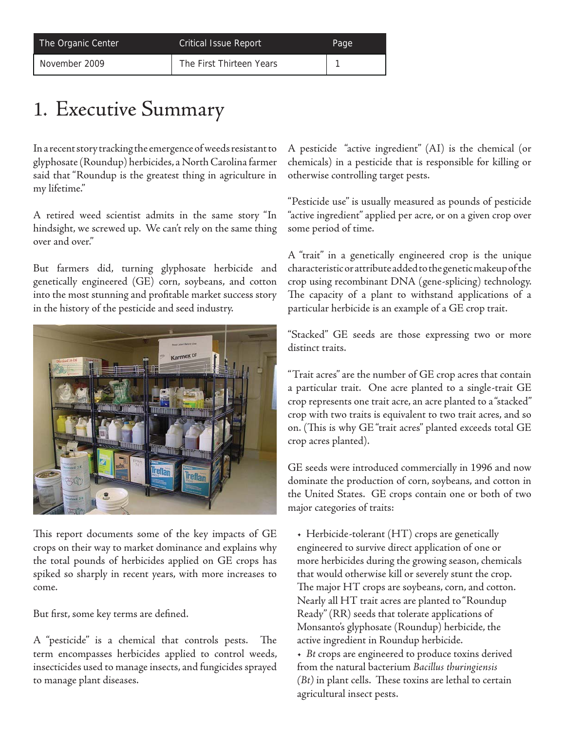| The Organic Center | <b>Critical Issue Report</b> | Page |
|--------------------|------------------------------|------|
| November 2009      | The First Thirteen Years     |      |

# 1. Executive Summary

In a recent story tracking the emergence of weeds resistant to glyphosate (Roundup) herbicides, a North Carolina farmer said that "Roundup is the greatest thing in agriculture in my lifetime."

A retired weed scientist admits in the same story "In hindsight, we screwed up. We can't rely on the same thing over and over."

But farmers did, turning glyphosate herbicide and genetically engineered (GE) corn, soybeans, and cotton into the most stunning and profitable market success story in the history of the pesticide and seed industry.



This report documents some of the key impacts of GE crops on their way to market dominance and explains why the total pounds of herbicides applied on GE crops has spiked so sharply in recent years, with more increases to come.

But first, some key terms are defined.

A "pesticide" is a chemical that controls pests. The term encompasses herbicides applied to control weeds, insecticides used to manage insects, and fungicides sprayed to manage plant diseases.

A pesticide "active ingredient" (AI) is the chemical (or chemicals) in a pesticide that is responsible for killing or otherwise controlling target pests.

"Pesticide use" is usually measured as pounds of pesticide "active ingredient" applied per acre, or on a given crop over some period of time.

A "trait" in a genetically engineered crop is the unique characteristic or attribute added to the genetic makeup of the crop using recombinant DNA (gene-splicing) technology. The capacity of a plant to withstand applications of a particular herbicide is an example of a GE crop trait.

"Stacked" GE seeds are those expressing two or more distinct traits.

"Trait acres" are the number of GE crop acres that contain a particular trait. One acre planted to a single-trait GE crop represents one trait acre, an acre planted to a "stacked" crop with two traits is equivalent to two trait acres, and so on. (This is why GE "trait acres" planted exceeds total GE crop acres planted).

GE seeds were introduced commercially in 1996 and now dominate the production of corn, soybeans, and cotton in the United States. GE crops contain one or both of two major categories of traits:

• Herbicide-tolerant (HT) crops are genetically engineered to survive direct application of one or more herbicides during the growing season, chemicals that would otherwise kill or severely stunt the crop. The major  $HT$  crops are soybeans, corn, and cotton. Nearly all HT trait acres are planted to "Roundup Ready" (RR) seeds that tolerate applications of Monsanto's glyphosate (Roundup) herbicide, the active ingredient in Roundup herbicide. • *Bt* crops are engineered to produce toxins derived from the natural bacterium *Bacillus thuringiensis*   $(Bt)$  in plant cells. These toxins are lethal to certain agricultural insect pests.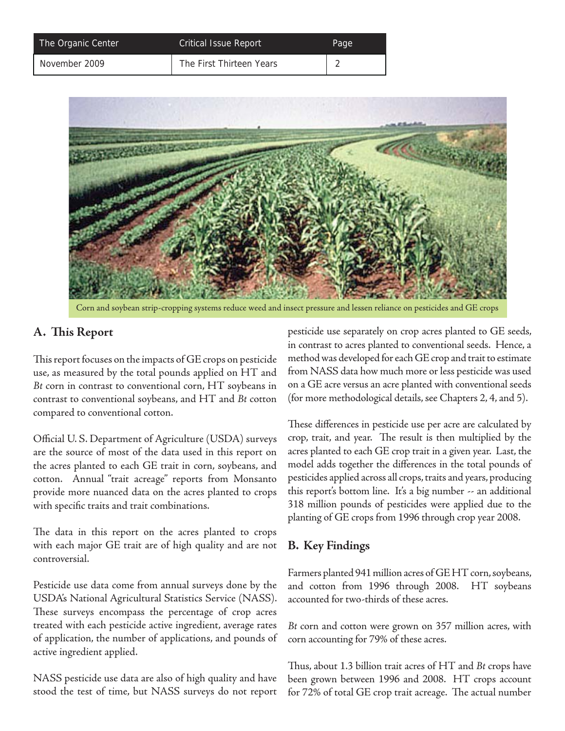| The Organic Center | <b>Critical Issue Report</b> | Page |
|--------------------|------------------------------|------|
| November 2009      | The First Thirteen Years     |      |



Corn and soybean strip-cropping systems reduce weed and insect pressure and lessen reliance on pesticides and GE crops

## **A. Th is Report**

This report focuses on the impacts of GE crops on pesticide use, as measured by the total pounds applied on HT and *Bt* corn in contrast to conventional corn, HT soybeans in contrast to conventional soybeans, and HT and *Bt* cotton compared to conventional cotton.

Official U.S. Department of Agriculture (USDA) surveys are the source of most of the data used in this report on the acres planted to each GE trait in corn, soybeans, and cotton. Annual "trait acreage" reports from Monsanto provide more nuanced data on the acres planted to crops with specific traits and trait combinations.

The data in this report on the acres planted to crops with each major GE trait are of high quality and are not controversial.

Pesticide use data come from annual surveys done by the USDA's National Agricultural Statistics Service (NASS). These surveys encompass the percentage of crop acres treated with each pesticide active ingredient, average rates of application, the number of applications, and pounds of active ingredient applied.

NASS pesticide use data are also of high quality and have stood the test of time, but NASS surveys do not report pesticide use separately on crop acres planted to GE seeds, in contrast to acres planted to conventional seeds. Hence, a method was developed for each GE crop and trait to estimate from NASS data how much more or less pesticide was used on a GE acre versus an acre planted with conventional seeds (for more methodological details, see Chapters 2, 4, and 5).

These differences in pesticide use per acre are calculated by crop, trait, and year. The result is then multiplied by the acres planted to each GE crop trait in a given year. Last, the model adds together the differences in the total pounds of pesticides applied across all crops, traits and years, producing this report's bottom line. It's a big number -- an additional 318 million pounds of pesticides were applied due to the planting of GE crops from 1996 through crop year 2008.

## **B. Key Findings**

Farmers planted 941 million acres of GE HT corn, soybeans, and cotton from 1996 through 2008. HT soybeans accounted for two-thirds of these acres.

*Bt* corn and cotton were grown on 357 million acres, with corn accounting for 79% of these acres.

Th us, about 1.3 billion trait acres of HT and *Bt* crops have been grown between 1996 and 2008. HT crops account for 72% of total GE crop trait acreage. The actual number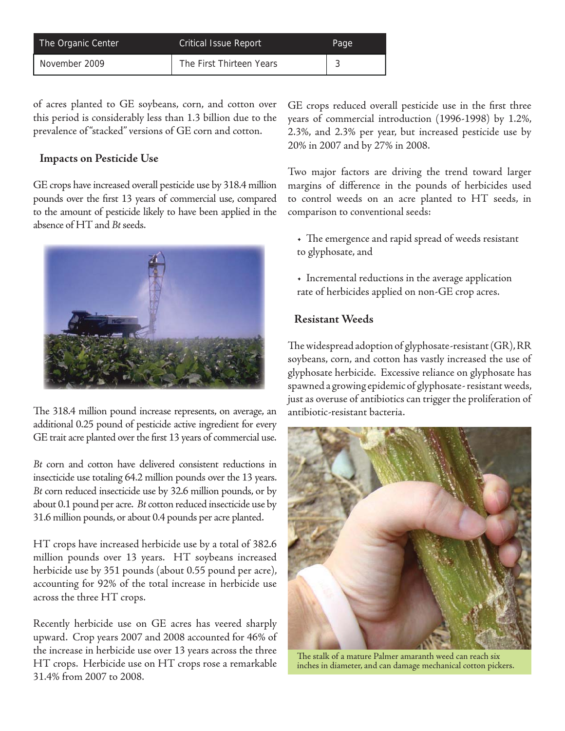| The Organic Center | <b>Critical Issue Report</b> | Page   |
|--------------------|------------------------------|--------|
| November 2009      | The First Thirteen Years     | $\sim$ |

of acres planted to GE soybeans, corn, and cotton over this period is considerably less than 1.3 billion due to the prevalence of "stacked" versions of GE corn and cotton.

#### **Impacts on Pesticide Use**

GE crops have increased overall pesticide use by 318.4 million pounds over the first 13 years of commercial use, compared to the amount of pesticide likely to have been applied in the absence of HT and *Bt* seeds.



The 318.4 million pound increase represents, on average, an additional 0.25 pound of pesticide active ingredient for every GE trait acre planted over the first 13 years of commercial use.

*Bt* corn and cotton have delivered consistent reductions in insecticide use totaling 64.2 million pounds over the 13 years. *Bt* corn reduced insecticide use by 32.6 million pounds, or by about 0.1 pound per acre. *Bt* cotton reduced insecticide use by 31.6 million pounds, or about 0.4 pounds per acre planted.

HT crops have increased herbicide use by a total of 382.6 million pounds over 13 years. HT soybeans increased herbicide use by 351 pounds (about 0.55 pound per acre), accounting for 92% of the total increase in herbicide use across the three HT crops.

Recently herbicide use on GE acres has veered sharply upward. Crop years 2007 and 2008 accounted for 46% of the increase in herbicide use over 13 years across the three HT crops. Herbicide use on HT crops rose a remarkable 31.4% from 2007 to 2008.

GE crops reduced overall pesticide use in the first three years of commercial introduction (1996-1998) by 1.2%, 2.3%, and 2.3% per year, but increased pesticide use by 20% in 2007 and by 27% in 2008.

Two major factors are driving the trend toward larger margins of difference in the pounds of herbicides used to control weeds on an acre planted to HT seeds, in comparison to conventional seeds:

- The emergence and rapid spread of weeds resistant to glyphosate, and
- Incremental reductions in the average application rate of herbicides applied on non-GE crop acres.

#### **Resistant Weeds**

The widespread adoption of glyphosate-resistant (GR), RR soybeans, corn, and cotton has vastly increased the use of glyphosate herbicide. Excessive reliance on glyphosate has spawned a growing epidemic of glyphosate- resistant weeds, just as overuse of antibiotics can trigger the proliferation of antibiotic-resistant bacteria.



The stalk of a mature Palmer amaranth weed can reach six inches in diameter, and can damage mechanical cotton pickers.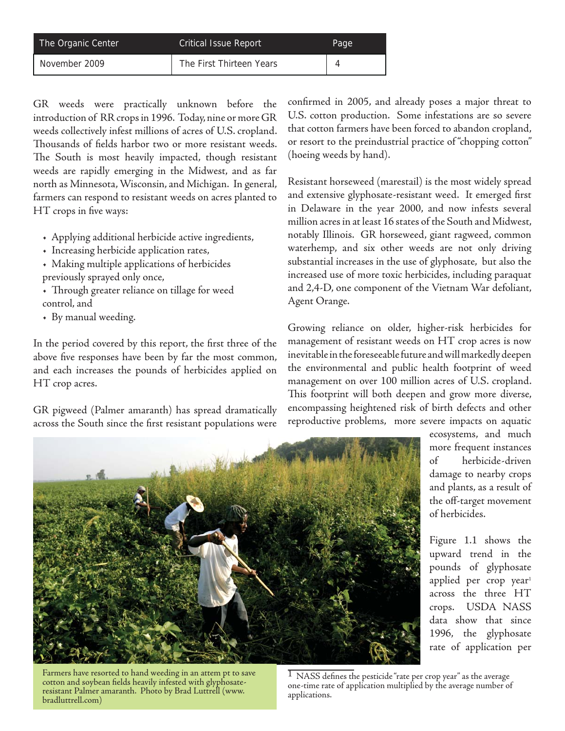| The Organic Center | <b>Critical Issue Report</b> | Page |
|--------------------|------------------------------|------|
| November 2009      | The First Thirteen Years     |      |

GR weeds were practically unknown before the introduction of RR crops in 1996. Today, nine or more GR weeds collectively infest millions of acres of U.S. cropland. Thousands of fields harbor two or more resistant weeds. The South is most heavily impacted, though resistant weeds are rapidly emerging in the Midwest, and as far north as Minnesota, Wisconsin, and Michigan. In general, farmers can respond to resistant weeds on acres planted to HT crops in five ways:

- Applying additional herbicide active ingredients,
- Increasing herbicide application rates,
- Making multiple applications of herbicides previously sprayed only once,
- Th rough greater reliance on tillage for weed control, and
- By manual weeding.

In the period covered by this report, the first three of the above five responses have been by far the most common, and each increases the pounds of herbicides applied on HT crop acres.

GR pigweed (Palmer amaranth) has spread dramatically across the South since the first resistant populations were

confirmed in 2005, and already poses a major threat to U.S. cotton production. Some infestations are so severe that cotton farmers have been forced to abandon cropland, or resort to the preindustrial practice of "chopping cotton" (hoeing weeds by hand).

Resistant horseweed (marestail) is the most widely spread and extensive glyphosate-resistant weed. It emerged first in Delaware in the year 2000, and now infests several million acres in at least 16 states of the South and Midwest, notably Illinois. GR horseweed, giant ragweed, common waterhemp, and six other weeds are not only driving substantial increases in the use of glyphosate, but also the increased use of more toxic herbicides, including paraquat and 2,4-D, one component of the Vietnam War defoliant, Agent Orange.

Growing reliance on older, higher-risk herbicides for management of resistant weeds on HT crop acres is now inevitable in the foreseeable future and will markedly deepen the environmental and public health footprint of weed management on over 100 million acres of U.S. cropland. This footprint will both deepen and grow more diverse, encompassing heightened risk of birth defects and other reproductive problems, more severe impacts on aquatic



ecosystems, and much more frequent instances of herbicide-driven damage to nearby crops and plants, as a result of the off-target movement of herbicides.

Figure 1.1 shows the upward trend in the pounds of glyphosate applied per crop year<sup>1</sup> across the three HT crops. USDA NASS data show that since 1996, the glyphosate rate of application per

Farmers have resorted to hand weeding in an attem pt to save cotton and soybean fields heavily infested with glyphosateresistant Palmer amaranth. Photo by Brad Luttrell (www. bradluttrell.com)

 $\overline{1}$  NASS defines the pesticide "rate per crop year" as the average one-time rate of application multiplied by the average number of applications.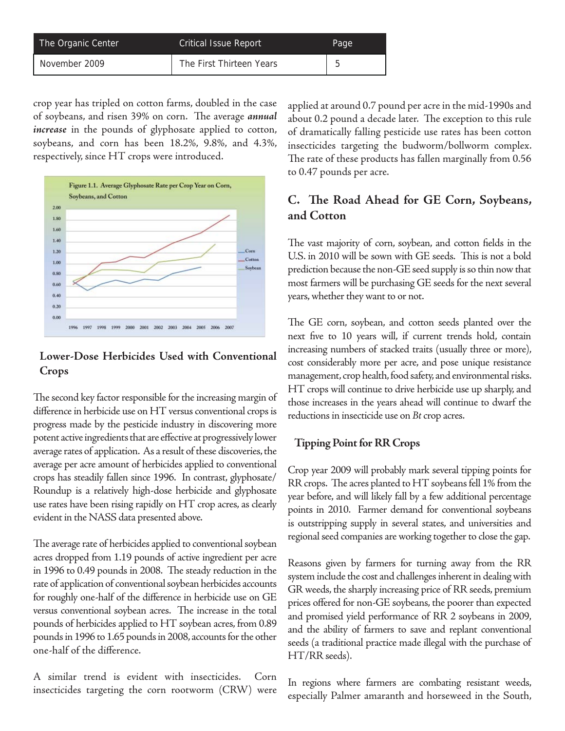| The Organic Center | <b>Critical Issue Report</b> | Page |
|--------------------|------------------------------|------|
| November 2009      | The First Thirteen Years     |      |

crop year has tripled on cotton farms, doubled in the case of soybeans, and risen 39% on corn. The average *annual increase* in the pounds of glyphosate applied to cotton, soybeans, and corn has been 18.2%, 9.8%, and 4.3%, respectively, since HT crops were introduced.



### **Lower-Dose Herbicides Used with Conventional Crops**

The second key factor responsible for the increasing margin of difference in herbicide use on HT versus conventional crops is progress made by the pesticide industry in discovering more potent active ingredients that are effective at progressively lower average rates of application. As a result of these discoveries, the average per acre amount of herbicides applied to conventional crops has steadily fallen since 1996. In contrast, glyphosate/ Roundup is a relatively high-dose herbicide and glyphosate use rates have been rising rapidly on HT crop acres, as clearly evident in the NASS data presented above.

The average rate of herbicides applied to conventional soybean acres dropped from 1.19 pounds of active ingredient per acre in 1996 to 0.49 pounds in 2008. The steady reduction in the rate of application of conventional soybean herbicides accounts for roughly one-half of the difference in herbicide use on GE versus conventional soybean acres. The increase in the total pounds of herbicides applied to HT soybean acres, from 0.89 pounds in 1996 to 1.65 pounds in 2008, accounts for the other one-half of the difference.

A similar trend is evident with insecticides. Corn insecticides targeting the corn rootworm (CRW) were applied at around 0.7 pound per acre in the mid-1990s and about 0.2 pound a decade later. The exception to this rule of dramatically falling pesticide use rates has been cotton insecticides targeting the budworm/bollworm complex. The rate of these products has fallen marginally from 0.56 to 0.47 pounds per acre.

## **C.** The Road Ahead for GE Corn, Soybeans, **and Cotton**

The vast majority of corn, soybean, and cotton fields in the U.S. in 2010 will be sown with GE seeds. This is not a bold prediction because the non-GE seed supply is so thin now that most farmers will be purchasing GE seeds for the next several years, whether they want to or not.

The GE corn, soybean, and cotton seeds planted over the next five to 10 years will, if current trends hold, contain increasing numbers of stacked traits (usually three or more), cost considerably more per acre, and pose unique resistance management, crop health, food safety, and environmental risks. HT crops will continue to drive herbicide use up sharply, and those increases in the years ahead will continue to dwarf the reductions in insecticide use on *Bt* crop acres.

#### **Tipping Point for RR Crops**

Crop year 2009 will probably mark several tipping points for  $RR$  crops. The acres planted to  $HT$  soybeans fell 1% from the year before, and will likely fall by a few additional percentage points in 2010. Farmer demand for conventional soybeans is outstripping supply in several states, and universities and regional seed companies are working together to close the gap.

Reasons given by farmers for turning away from the RR system include the cost and challenges inherent in dealing with GR weeds, the sharply increasing price of RR seeds, premium prices offered for non-GE soybeans, the poorer than expected and promised yield performance of RR 2 soybeans in 2009, and the ability of farmers to save and replant conventional seeds (a traditional practice made illegal with the purchase of HT/RR seeds).

In regions where farmers are combating resistant weeds, especially Palmer amaranth and horseweed in the South,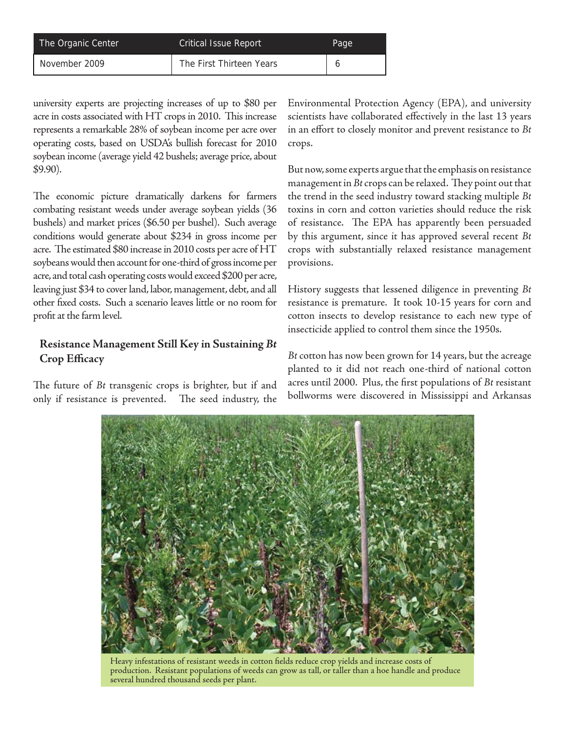| The Organic Center | <b>Critical Issue Report</b> | Page |
|--------------------|------------------------------|------|
| November 2009      | The First Thirteen Years     |      |

university experts are projecting increases of up to \$80 per acre in costs associated with HT crops in 2010. This increase represents a remarkable 28% of soybean income per acre over operating costs, based on USDA's bullish forecast for 2010 soybean income (average yield 42 bushels; average price, about \$9.90).

The economic picture dramatically darkens for farmers combating resistant weeds under average soybean yields (36 bushels) and market prices (\$6.50 per bushel). Such average conditions would generate about \$234 in gross income per acre. The estimated \$80 increase in 2010 costs per acre of HT soybeans would then account for one-third of gross income per acre, and total cash operating costs would exceed \$200 per acre, leaving just \$34 to cover land, labor, management, debt, and all other fixed costs. Such a scenario leaves little or no room for profit at the farm level.

### **Resistance Management Still Key in Sustaining** *Bt*  **Crop Efficacy**

The future of *Bt* transgenic crops is brighter, but if and only if resistance is prevented. The seed industry, the Environmental Protection Agency (EPA), and university scientists have collaborated effectively in the last 13 years in an effort to closely monitor and prevent resistance to *Bt* crops.

But now, some experts argue that the emphasis on resistance management in *Bt* crops can be relaxed. They point out that the trend in the seed industry toward stacking multiple *Bt* toxins in corn and cotton varieties should reduce the risk of resistance. The EPA has apparently been persuaded by this argument, since it has approved several recent *Bt* crops with substantially relaxed resistance management provisions.

History suggests that lessened diligence in preventing *Bt*  resistance is premature. It took 10-15 years for corn and cotton insects to develop resistance to each new type of insecticide applied to control them since the 1950s.

*Bt* cotton has now been grown for 14 years, but the acreage planted to it did not reach one-third of national cotton acres until 2000. Plus, the first populations of *Bt* resistant bollworms were discovered in Mississippi and Arkansas



Heavy infestations of resistant weeds in cotton fields reduce crop yields and increase costs of production. Resistant populations of weeds can grow as tall, or taller than a hoe handle and produce several hundred thousand seeds per plant.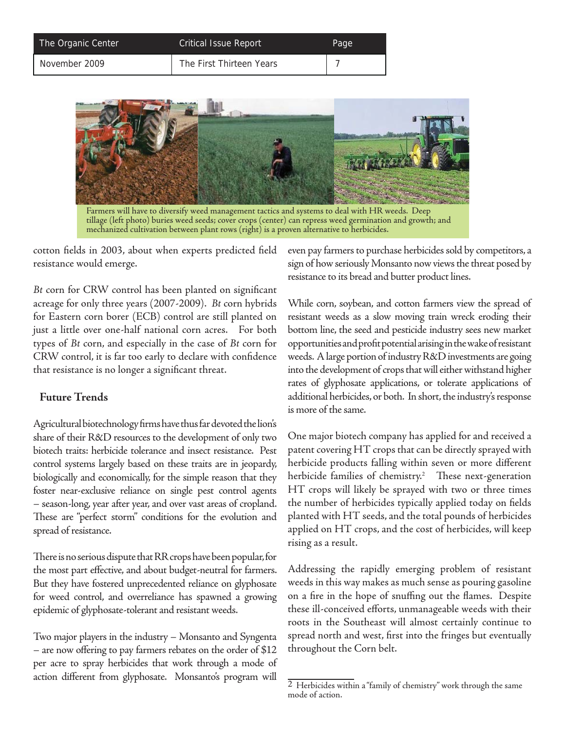| The Organic Center | <b>Critical Issue Report</b> | Page |
|--------------------|------------------------------|------|
| November 2009      | The First Thirteen Years     |      |



Farmers will have to diversify weed management tactics and systems to deal with HR weeds. Deep tillage (left photo) buries weed seeds; cover crops (center) can repress weed germination and growth; and mechanized cultivation between plant rows (right) is a proven alternative to herbicides.

cotton fields in 2003, about when experts predicted field resistance would emerge.

Bt corn for CRW control has been planted on significant acreage for only three years (2007-2009). *Bt* corn hybrids for Eastern corn borer (ECB) control are still planted on just a little over one-half national corn acres. For both types of *Bt* corn, and especially in the case of *Bt* corn for CRW control, it is far too early to declare with confidence that resistance is no longer a significant threat.

#### **Future Trends**

Agricultural biotechnology firms have thus far devoted the lion's share of their R&D resources to the development of only two biotech traits: herbicide tolerance and insect resistance. Pest control systems largely based on these traits are in jeopardy, biologically and economically, for the simple reason that they foster near-exclusive reliance on single pest control agents – season-long, year after year, and over vast areas of cropland. These are "perfect storm" conditions for the evolution and spread of resistance.

There is no serious dispute that RR crops have been popular, for the most part effective, and about budget-neutral for farmers. But they have fostered unprecedented reliance on glyphosate for weed control, and overreliance has spawned a growing epidemic of glyphosate-tolerant and resistant weeds.

Two major players in the industry – Monsanto and Syngenta – are now offering to pay farmers rebates on the order of  $$12$ per acre to spray herbicides that work through a mode of action different from glyphosate. Monsanto's program will even pay farmers to purchase herbicides sold by competitors, a sign of how seriously Monsanto now views the threat posed by resistance to its bread and butter product lines.

While corn, soybean, and cotton farmers view the spread of resistant weeds as a slow moving train wreck eroding their bottom line, the seed and pesticide industry sees new market opportunities and profi t potential arising in the wake of resistant weeds. A large portion of industry R&D investments are going into the development of crops that will either withstand higher rates of glyphosate applications, or tolerate applications of additional herbicides, or both. In short, the industry's response is more of the same.

One major biotech company has applied for and received a patent covering HT crops that can be directly sprayed with herbicide products falling within seven or more different herbicide families of chemistry.<sup>2</sup> These next-generation HT crops will likely be sprayed with two or three times the number of herbicides typically applied today on fields planted with HT seeds, and the total pounds of herbicides applied on HT crops, and the cost of herbicides, will keep rising as a result.

Addressing the rapidly emerging problem of resistant weeds in this way makes as much sense as pouring gasoline on a fire in the hope of snuffing out the flames. Despite these ill-conceived efforts, unmanageable weeds with their roots in the Southeast will almost certainly continue to spread north and west, first into the fringes but eventually throughout the Corn belt.

<sup>2</sup> Herbicides within a "family of chemistry" work through the same mode of action.